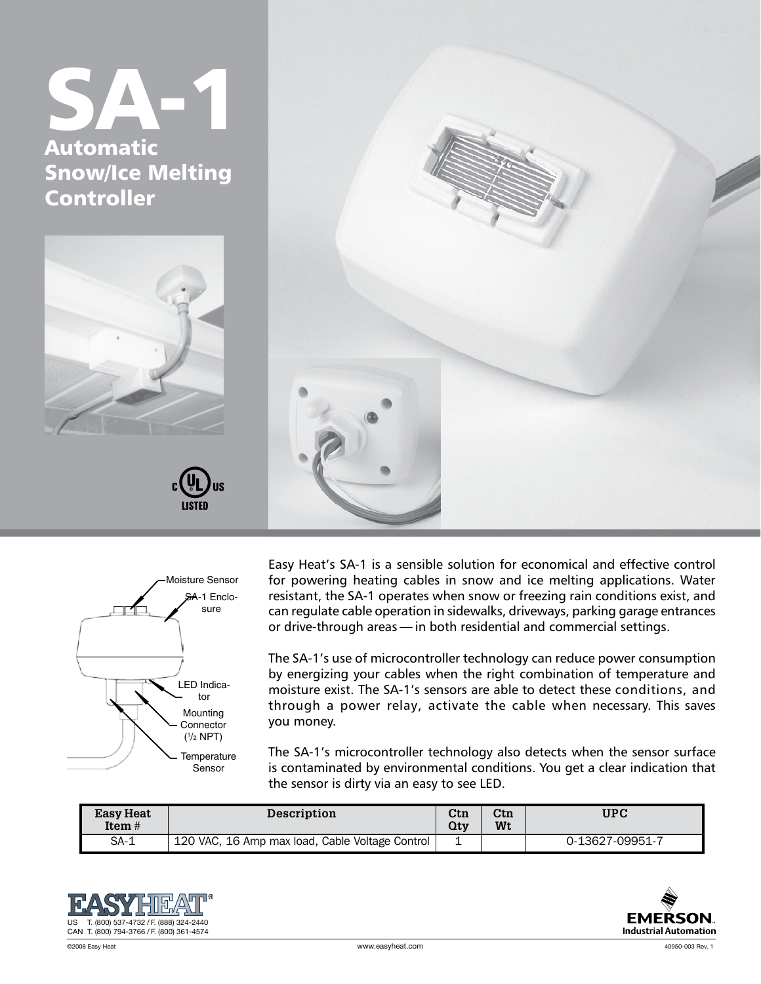## SA-1 Automatic Snow/Ice Melting Controller



Easy Heat's SA-1 is a sensible solution for economical and effective control for powering heating cables in snow and ice melting applications. Water resistant, the SA-1 operates when snow or freezing rain conditions exist, and can regulate cable operation in sidewalks, driveways, parking garage entrances or drive-through areas — in both residential and commercial settings.

The SA-1's use of microcontroller technology can reduce power consumption by energizing your cables when the right combination of temperature and moisture exist. The SA-1's sensors are able to detect these conditions, and through a power relay, activate the cable when necessary. This saves you money.

The SA-1's microcontroller technology also detects when the sensor surface is contaminated by environmental conditions. You get a clear indication that the sensor is dirty via an easy to see LED.

| <b>Easy Heat</b><br>Item $#$ | <b>Description</b>                              | $_{\rm Ctn}$<br>Qtv | $_{\rm Ctn}$<br>Wt | UPC             |
|------------------------------|-------------------------------------------------|---------------------|--------------------|-----------------|
| $SA-1$                       | 120 VAC, 16 Amp max load, Cable Voltage Control | ∸                   |                    | 0-13627-09951-7 |